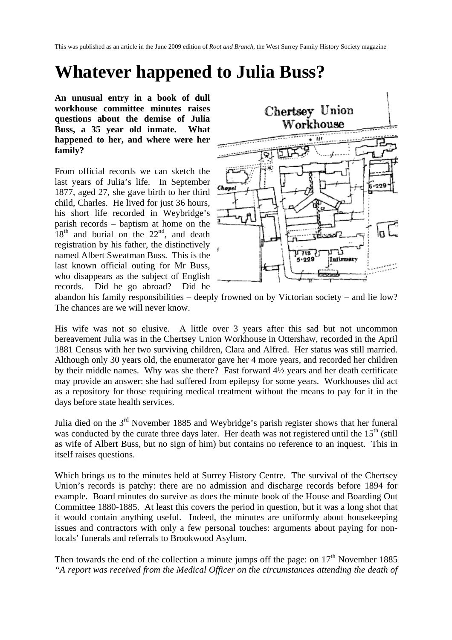This was published as an article in the June 2009 edition of *Root and Branch*, the West Surrey Family History Society magazine

## **Whatever happened to Julia Buss?**

**An unusual entry in a book of dull workhouse committee minutes raises questions about the demise of Julia Buss, a 35 year old inmate. What happened to her, and where were her family?** 

From official records we can sketch the last years of Julia's life. In September 1877, aged 27, she gave birth to her third child, Charles. He lived for just 36 hours, his short life recorded in Weybridge's parish records – baptism at home on the  $18<sup>th</sup>$  and burial on the  $22<sup>nd</sup>$ , and death registration by his father, the distinctively named Albert Sweatman Buss. This is the last known official outing for Mr Buss, who disappears as the subject of English records. Did he go abroad? Did he



abandon his family responsibilities – deeply frowned on by Victorian society – and lie low? The chances are we will never know.

His wife was not so elusive. A little over 3 years after this sad but not uncommon bereavement Julia was in the Chertsey Union Workhouse in Ottershaw, recorded in the April 1881 Census with her two surviving children, Clara and Alfred. Her status was still married. Although only 30 years old, the enumerator gave her 4 more years, and recorded her children by their middle names. Why was she there? Fast forward 4½ years and her death certificate may provide an answer: she had suffered from epilepsy for some years. Workhouses did act as a repository for those requiring medical treatment without the means to pay for it in the days before state health services.

Julia died on the  $3<sup>rd</sup>$  November 1885 and Weybridge's parish register shows that her funeral was conducted by the curate three days later. Her death was not registered until the  $15<sup>th</sup>$  (still as wife of Albert Buss, but no sign of him) but contains no reference to an inquest. This in itself raises questions.

Which brings us to the minutes held at Surrey History Centre. The survival of the Chertsey Union's records is patchy: there are no admission and discharge records before 1894 for example. Board minutes do survive as does the minute book of the House and Boarding Out Committee 1880-1885. At least this covers the period in question, but it was a long shot that it would contain anything useful. Indeed, the minutes are uniformly about housekeeping issues and contractors with only a few personal touches: arguments about paying for nonlocals' funerals and referrals to Brookwood Asylum.

Then towards the end of the collection a minute jumps off the page: on  $17<sup>th</sup>$  November 1885 *"A report was received from the Medical Officer on the circumstances attending the death of*